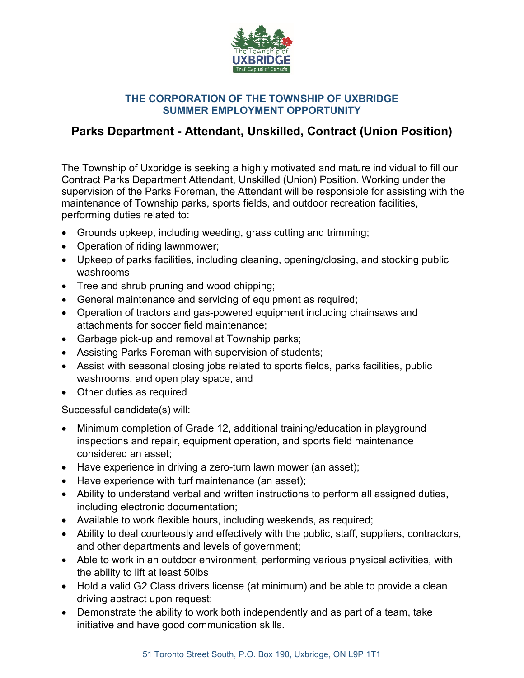

## **THE CORPORATION OF THE TOWNSHIP OF UXBRIDGE SUMMER EMPLOYMENT OPPORTUNITY**

## **Parks Department - Attendant, Unskilled, Contract (Union Position)**

The Township of Uxbridge is seeking a highly motivated and mature individual to fill our Contract Parks Department Attendant, Unskilled (Union) Position. Working under the supervision of the Parks Foreman, the Attendant will be responsible for assisting with the maintenance of Township parks, sports fields, and outdoor recreation facilities, performing duties related to:

- Grounds upkeep, including weeding, grass cutting and trimming;
- Operation of riding lawnmower;
- Upkeep of parks facilities, including cleaning, opening/closing, and stocking public washrooms
- Tree and shrub pruning and wood chipping;
- General maintenance and servicing of equipment as required;
- Operation of tractors and gas-powered equipment including chainsaws and attachments for soccer field maintenance;
- Garbage pick-up and removal at Township parks;
- Assisting Parks Foreman with supervision of students;
- Assist with seasonal closing jobs related to sports fields, parks facilities, public washrooms, and open play space, and
- Other duties as required

Successful candidate(s) will:

- Minimum completion of Grade 12, additional training/education in playground inspections and repair, equipment operation, and sports field maintenance considered an asset;
- Have experience in driving a zero-turn lawn mower (an asset);
- Have experience with turf maintenance (an asset);
- Ability to understand verbal and written instructions to perform all assigned duties, including electronic documentation;
- Available to work flexible hours, including weekends, as required;
- Ability to deal courteously and effectively with the public, staff, suppliers, contractors, and other departments and levels of government;
- Able to work in an outdoor environment, performing various physical activities, with the ability to lift at least 50lbs
- Hold a valid G2 Class drivers license (at minimum) and be able to provide a clean driving abstract upon request;
- Demonstrate the ability to work both independently and as part of a team, take initiative and have good communication skills.